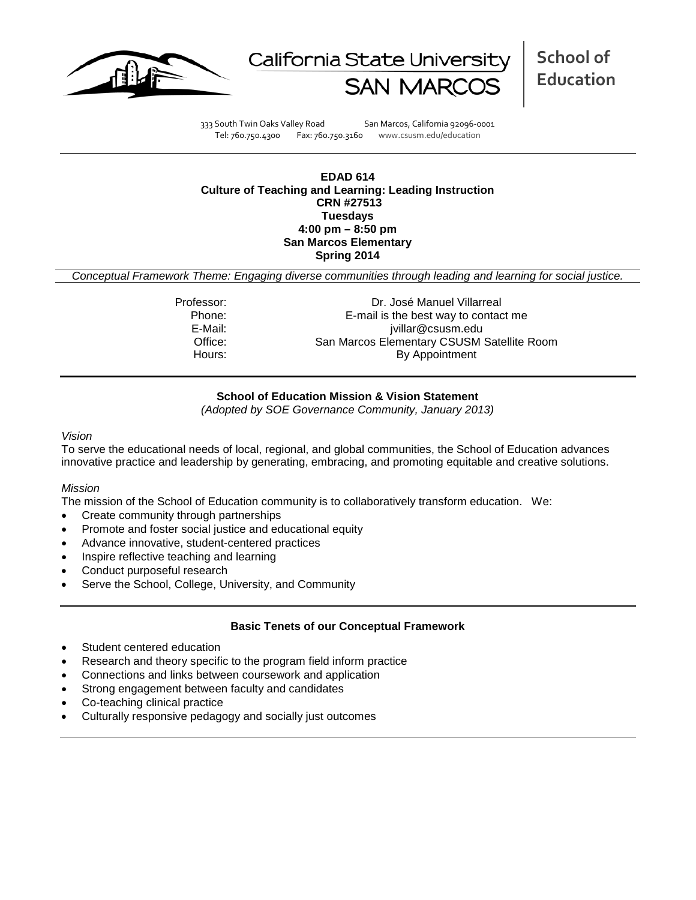



**School of Education**

333 South Twin Oaks Valley Road San Marcos, California 92096-0001 Tel: 760.750.4300 Fax: 760.750.3160 www.csusm.edu/education

#### **EDAD 614 Culture of Teaching and Learning: Leading Instruction CRN #27513 Tuesdays 4:00 pm – 8:50 pm San Marcos Elementary Spring 2014**

*Conceptual Framework Theme: Engaging diverse communities through leading and learning for social justice.*

Professor: Dr. José Manuel Villarreal Phone:  $E$ -mail is the best way to contact me<br> $E$ -Mail:  $\frac{E-\text{Mail}}{\text{willar@c} s \text{usm.edu}}$ jvillar@csusm.edu Office: San Marcos Elementary CSUSM Satellite Room Hours: By Appointment

### **School of Education Mission & Vision Statement**

*(Adopted by SOE Governance Community, January 2013)*

#### *Vision*

To serve the educational needs of local, regional, and global communities, the School of Education advances innovative practice and leadership by generating, embracing, and promoting equitable and creative solutions.

### *Mission*

The mission of the School of Education community is to collaboratively transform education. We:

- Create community through partnerships
- Promote and foster social justice and educational equity
- Advance innovative, student-centered practices
- Inspire reflective teaching and learning
- Conduct purposeful research
- Serve the School, College, University, and Community

### **Basic Tenets of our Conceptual Framework**

- Student centered education
- Research and theory specific to the program field inform practice
- Connections and links between coursework and application
- Strong engagement between faculty and candidates
- Co-teaching clinical practice
- Culturally responsive pedagogy and socially just outcomes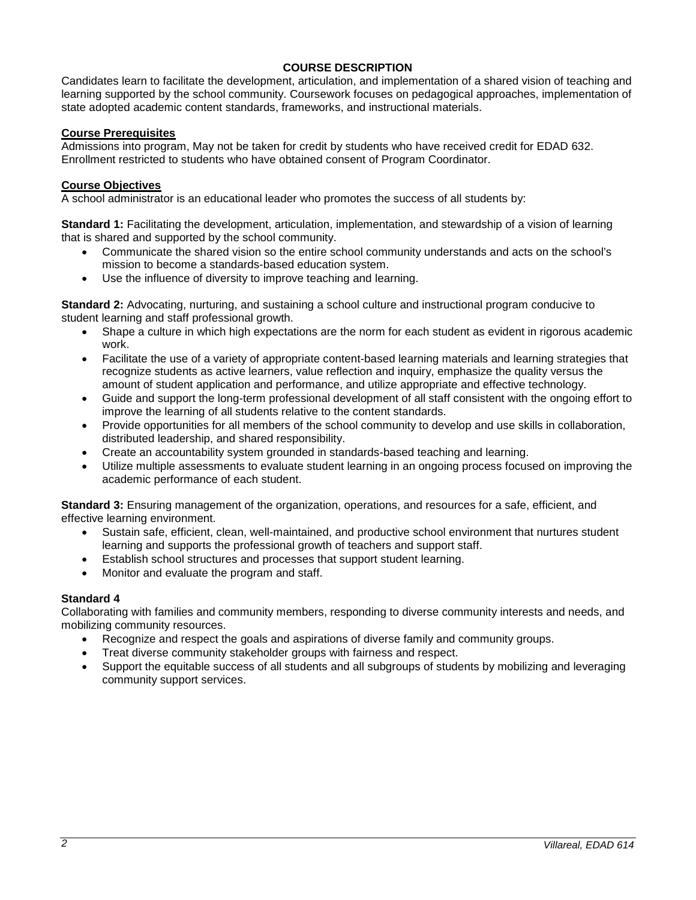## **COURSE DESCRIPTION**

Candidates learn to facilitate the development, articulation, and implementation of a shared vision of teaching and learning supported by the school community. Coursework focuses on pedagogical approaches, implementation of state adopted academic content standards, frameworks, and instructional materials.

## **Course Prerequisites**

Admissions into program, May not be taken for credit by students who have received credit for EDAD 632. Enrollment restricted to students who have obtained consent of Program Coordinator.

### **Course Objectives**

A school administrator is an educational leader who promotes the success of all students by:

**Standard 1:** Facilitating the development, articulation, implementation, and stewardship of a vision of learning that is shared and supported by the school community.

- Communicate the shared vision so the entire school community understands and acts on the school's mission to become a standards-based education system.
- Use the influence of diversity to improve teaching and learning.

**Standard 2:** Advocating, nurturing, and sustaining a school culture and instructional program conducive to student learning and staff professional growth.

- Shape a culture in which high expectations are the norm for each student as evident in rigorous academic work.
- Facilitate the use of a variety of appropriate content-based learning materials and learning strategies that recognize students as active learners, value reflection and inquiry, emphasize the quality versus the amount of student application and performance, and utilize appropriate and effective technology.
- Guide and support the long-term professional development of all staff consistent with the ongoing effort to improve the learning of all students relative to the content standards.
- Provide opportunities for all members of the school community to develop and use skills in collaboration, distributed leadership, and shared responsibility.
- Create an accountability system grounded in standards-based teaching and learning.
- Utilize multiple assessments to evaluate student learning in an ongoing process focused on improving the academic performance of each student.

**Standard 3:** Ensuring management of the organization, operations, and resources for a safe, efficient, and effective learning environment.

- Sustain safe, efficient, clean, well-maintained, and productive school environment that nurtures student learning and supports the professional growth of teachers and support staff.
- Establish school structures and processes that support student learning.
- Monitor and evaluate the program and staff.

### **Standard 4**

Collaborating with families and community members, responding to diverse community interests and needs, and mobilizing community resources.

- Recognize and respect the goals and aspirations of diverse family and community groups.
- Treat diverse community stakeholder groups with fairness and respect.
- Support the equitable success of all students and all subgroups of students by mobilizing and leveraging community support services.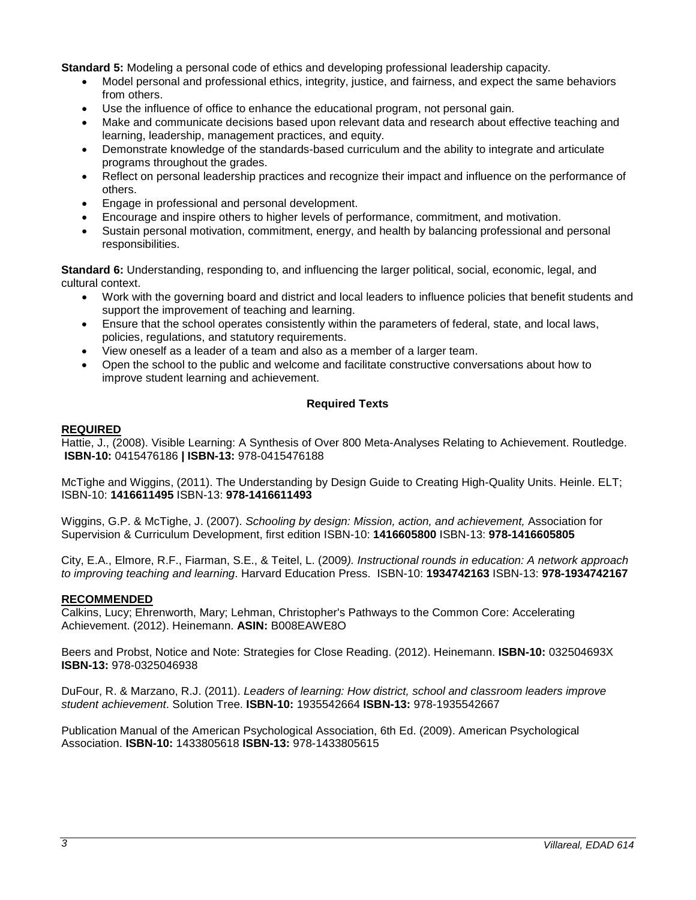**Standard 5:** Modeling a personal code of ethics and developing professional leadership capacity.

- Model personal and professional ethics, integrity, justice, and fairness, and expect the same behaviors from others.
- Use the influence of office to enhance the educational program, not personal gain.
- Make and communicate decisions based upon relevant data and research about effective teaching and learning, leadership, management practices, and equity.
- Demonstrate knowledge of the standards-based curriculum and the ability to integrate and articulate programs throughout the grades.
- Reflect on personal leadership practices and recognize their impact and influence on the performance of others.
- Engage in professional and personal development.
- Encourage and inspire others to higher levels of performance, commitment, and motivation.
- Sustain personal motivation, commitment, energy, and health by balancing professional and personal responsibilities.

**Standard 6:** Understanding, responding to, and influencing the larger political, social, economic, legal, and cultural context.

- Work with the governing board and district and local leaders to influence policies that benefit students and support the improvement of teaching and learning.
- Ensure that the school operates consistently within the parameters of federal, state, and local laws, policies, regulations, and statutory requirements.
- View oneself as a leader of a team and also as a member of a larger team.
- Open the school to the public and welcome and facilitate constructive conversations about how to improve student learning and achievement.

## **Required Texts**

#### **REQUIRED**

Hattie, J., (2008). Visible Learning: A Synthesis of Over 800 Meta-Analyses Relating to Achievement. Routledge. **ISBN-10:** 0415476186 **| ISBN-13:** 978-0415476188

McTighe and Wiggins, (2011). The Understanding by Design Guide to Creating High-Quality Units. Heinle. ELT; ISBN-10: **1416611495** ISBN-13: **978-1416611493**

Wiggins, G.P. & McTighe, J. (2007). *Schooling by design: Mission, action, and achievement,* Association for Supervision & Curriculum Development, first edition ISBN-10: **1416605800** ISBN-13: **978-1416605805**

City, E.A., Elmore, R.F., Fiarman, S.E., & Teitel, L. (2009*). Instructional rounds in education: A network approach to improving teaching and learning*. Harvard Education Press. ISBN-10: **1934742163** ISBN-13: **978-1934742167**

### **RECOMMENDED**

Calkins, Lucy; Ehrenworth, Mary; Lehman, Christopher's Pathways to the Common Core: Accelerating Achievement. (2012). Heinemann. **ASIN:** B008EAWE8O

Beers and Probst, Notice and Note: Strategies for Close Reading. (2012). Heinemann. **ISBN-10:** 032504693X **ISBN-13:** 978-0325046938

DuFour, R. & Marzano, R.J. (2011). *Leaders of learning: How district, school and classroom leaders improve student achievement*. Solution Tree. **ISBN-10:** 1935542664 **ISBN-13:** 978-1935542667

Publication Manual of the American Psychological Association, 6th Ed. (2009). American Psychological Association. **ISBN-10:** 1433805618 **ISBN-13:** 978-1433805615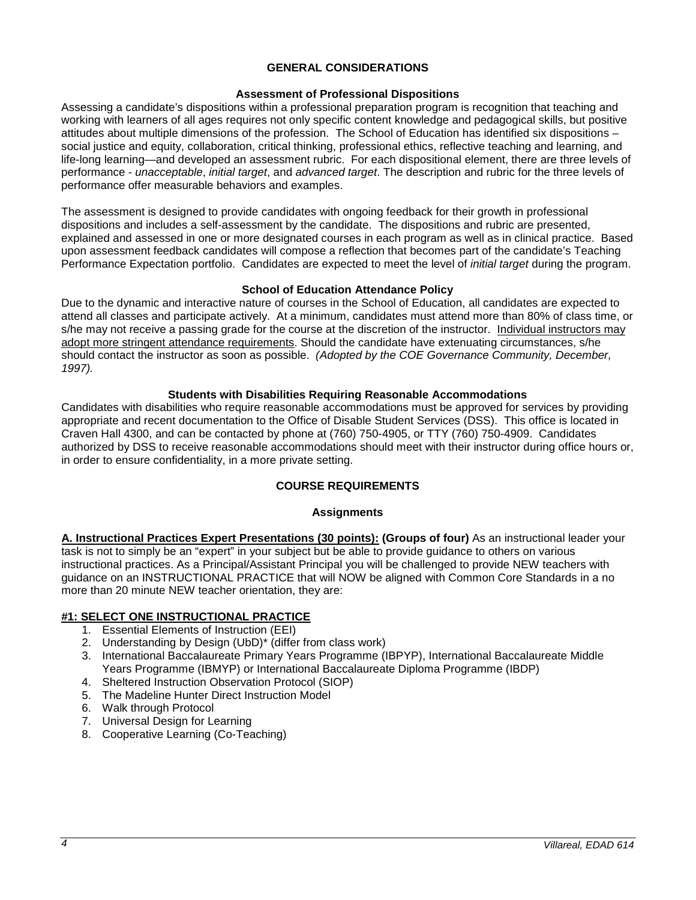### **GENERAL CONSIDERATIONS**

### **Assessment of Professional Dispositions**

Assessing a candidate's dispositions within a professional preparation program is recognition that teaching and working with learners of all ages requires not only specific content knowledge and pedagogical skills, but positive attitudes about multiple dimensions of the profession. The School of Education has identified six dispositions – social justice and equity, collaboration, critical thinking, professional ethics, reflective teaching and learning, and life-long learning—and developed an assessment rubric. For each dispositional element, there are three levels of performance - *unacceptable*, *initial target*, and *advanced target*. The description and rubric for the three levels of performance offer measurable behaviors and examples.

The assessment is designed to provide candidates with ongoing feedback for their growth in professional dispositions and includes a self-assessment by the candidate. The dispositions and rubric are presented, explained and assessed in one or more designated courses in each program as well as in clinical practice. Based upon assessment feedback candidates will compose a reflection that becomes part of the candidate's Teaching Performance Expectation portfolio. Candidates are expected to meet the level of *initial target* during the program.

### **School of Education Attendance Policy**

Due to the dynamic and interactive nature of courses in the School of Education, all candidates are expected to attend all classes and participate actively. At a minimum, candidates must attend more than 80% of class time, or s/he may not receive a passing grade for the course at the discretion of the instructor. Individual instructors may adopt more stringent attendance requirements. Should the candidate have extenuating circumstances, s/he should contact the instructor as soon as possible. *(Adopted by the COE Governance Community, December, 1997).*

### **Students with Disabilities Requiring Reasonable Accommodations**

Candidates with disabilities who require reasonable accommodations must be approved for services by providing appropriate and recent documentation to the Office of Disable Student Services (DSS). This office is located in Craven Hall 4300, and can be contacted by phone at (760) 750-4905, or TTY (760) 750-4909. Candidates authorized by DSS to receive reasonable accommodations should meet with their instructor during office hours or, in order to ensure confidentiality, in a more private setting.

## **COURSE REQUIREMENTS**

### **Assignments**

**A. Instructional Practices Expert Presentations (30 points): (Groups of four)** As an instructional leader your task is not to simply be an "expert" in your subject but be able to provide guidance to others on various instructional practices. As a Principal/Assistant Principal you will be challenged to provide NEW teachers with guidance on an INSTRUCTIONAL PRACTICE that will NOW be aligned with Common Core Standards in a no more than 20 minute NEW teacher orientation, they are:

## **#1: SELECT ONE INSTRUCTIONAL PRACTICE**

- 1. Essential Elements of Instruction (EEI)
- 2. Understanding by Design (UbD)\* (differ from class work)
- 3. International Baccalaureate Primary Years Programme (IBPYP), International Baccalaureate Middle Years Programme (IBMYP) or International Baccalaureate Diploma Programme (IBDP)
- 4. Sheltered Instruction Observation Protocol (SIOP)
- 5. The Madeline Hunter Direct Instruction Model
- 6. Walk through Protocol
- 7. Universal Design for Learning
- 8. Cooperative Learning (Co-Teaching)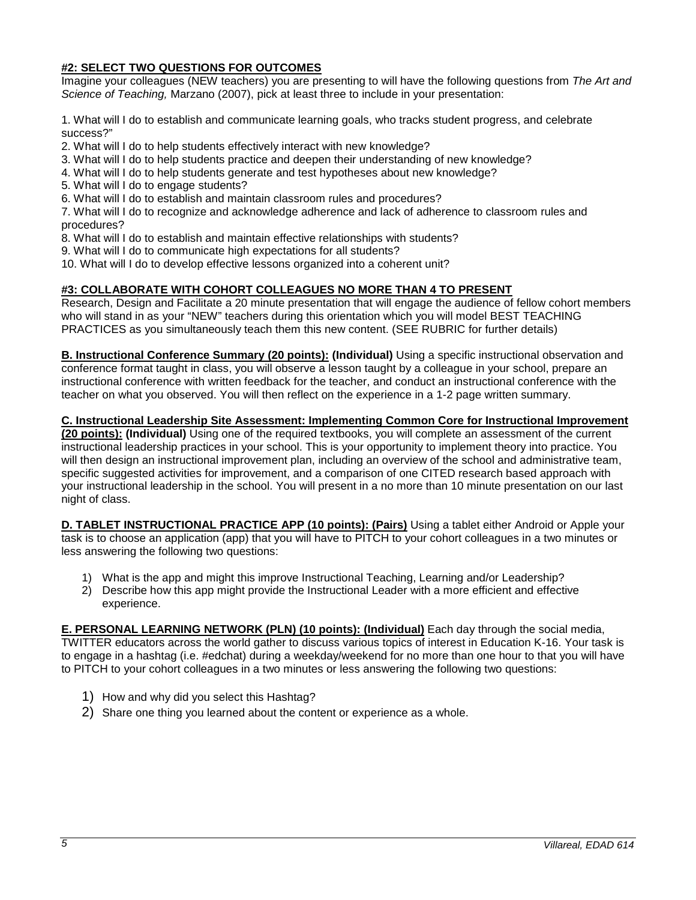## **#2: SELECT TWO QUESTIONS FOR OUTCOMES**

Imagine your colleagues (NEW teachers) you are presenting to will have the following questions from *The Art and Science of Teaching,* Marzano (2007), pick at least three to include in your presentation:

1. What will I do to establish and communicate learning goals, who tracks student progress, and celebrate success?"

- 2. What will I do to help students effectively interact with new knowledge?
- 3. What will I do to help students practice and deepen their understanding of new knowledge?
- 4. What will I do to help students generate and test hypotheses about new knowledge?
- 5. What will I do to engage students?

6. What will I do to establish and maintain classroom rules and procedures?

7. What will I do to recognize and acknowledge adherence and lack of adherence to classroom rules and procedures?

- 8. What will I do to establish and maintain effective relationships with students?
- 9. What will I do to communicate high expectations for all students?
- 10. What will I do to develop effective lessons organized into a coherent unit?

## **#3: COLLABORATE WITH COHORT COLLEAGUES NO MORE THAN 4 TO PRESENT**

Research, Design and Facilitate a 20 minute presentation that will engage the audience of fellow cohort members who will stand in as your "NEW" teachers during this orientation which you will model BEST TEACHING PRACTICES as you simultaneously teach them this new content. (SEE RUBRIC for further details)

**B. Instructional Conference Summary (20 points): (Individual)** Using a specific instructional observation and conference format taught in class, you will observe a lesson taught by a colleague in your school, prepare an instructional conference with written feedback for the teacher, and conduct an instructional conference with the teacher on what you observed. You will then reflect on the experience in a 1-2 page written summary.

### **C. Instructional Leadership Site Assessment: Implementing Common Core for Instructional Improvement**

**(20 points): (Individual)** Using one of the required textbooks, you will complete an assessment of the current instructional leadership practices in your school. This is your opportunity to implement theory into practice. You will then design an instructional improvement plan, including an overview of the school and administrative team, specific suggested activities for improvement, and a comparison of one CITED research based approach with your instructional leadership in the school. You will present in a no more than 10 minute presentation on our last night of class.

**D. TABLET INSTRUCTIONAL PRACTICE APP (10 points): (Pairs)** Using a tablet either Android or Apple your task is to choose an application (app) that you will have to PITCH to your cohort colleagues in a two minutes or less answering the following two questions:

- 1) What is the app and might this improve Instructional Teaching, Learning and/or Leadership?
- 2) Describe how this app might provide the Instructional Leader with a more efficient and effective experience.

**E. PERSONAL LEARNING NETWORK (PLN) (10 points): (Individual)** Each day through the social media, TWITTER educators across the world gather to discuss various topics of interest in Education K-16. Your task is to engage in a hashtag (i.e. #edchat) during a weekday/weekend for no more than one hour to that you will have to PITCH to your cohort colleagues in a two minutes or less answering the following two questions:

- 1) How and why did you select this Hashtag?
- 2) Share one thing you learned about the content or experience as a whole.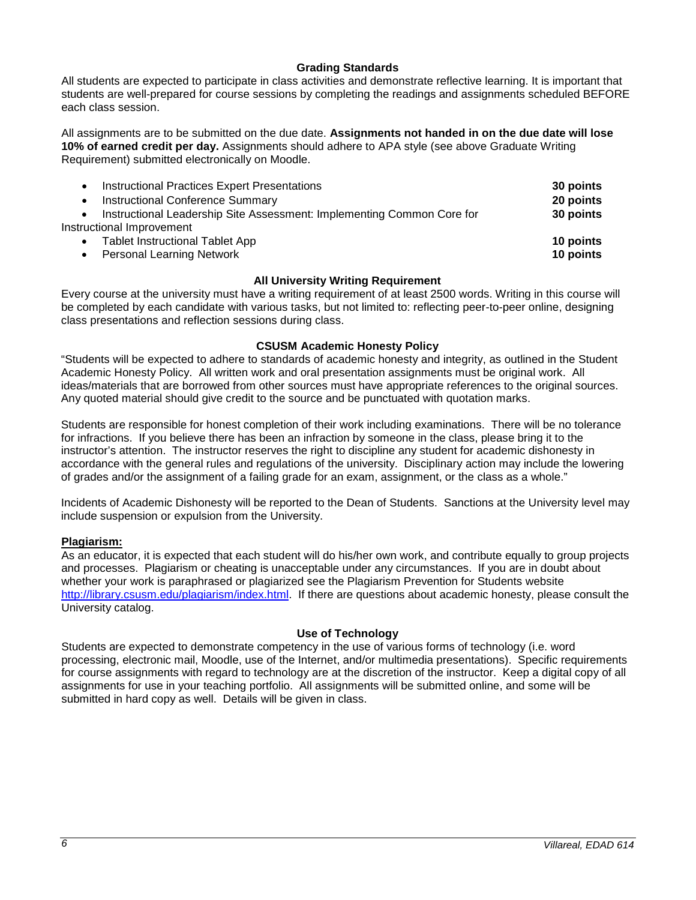### **Grading Standards**

All students are expected to participate in class activities and demonstrate reflective learning. It is important that students are well-prepared for course sessions by completing the readings and assignments scheduled BEFORE each class session.

All assignments are to be submitted on the due date. **Assignments not handed in on the due date will lose 10% of earned credit per day.** Assignments should adhere to APA style (see above Graduate Writing Requirement) submitted electronically on Moodle.

| <b>Instructional Practices Expert Presentations</b>                    | 30 points |
|------------------------------------------------------------------------|-----------|
| <b>Instructional Conference Summary</b>                                | 20 points |
| Instructional Leadership Site Assessment: Implementing Common Core for | 30 points |
| Instructional Improvement                                              |           |
| <b>Tablet Instructional Tablet App</b>                                 | 10 points |
| <b>Personal Learning Network</b><br>$\bullet$                          | 10 points |
|                                                                        |           |

### **All University Writing Requirement**

Every course at the university must have a writing requirement of at least 2500 words. Writing in this course will be completed by each candidate with various tasks, but not limited to: reflecting peer-to-peer online, designing class presentations and reflection sessions during class.

### **CSUSM Academic Honesty Policy**

"Students will be expected to adhere to standards of academic honesty and integrity, as outlined in the Student Academic Honesty Policy. All written work and oral presentation assignments must be original work. All ideas/materials that are borrowed from other sources must have appropriate references to the original sources. Any quoted material should give credit to the source and be punctuated with quotation marks.

Students are responsible for honest completion of their work including examinations. There will be no tolerance for infractions. If you believe there has been an infraction by someone in the class, please bring it to the instructor's attention. The instructor reserves the right to discipline any student for academic dishonesty in accordance with the general rules and regulations of the university. Disciplinary action may include the lowering of grades and/or the assignment of a failing grade for an exam, assignment, or the class as a whole."

Incidents of Academic Dishonesty will be reported to the Dean of Students. Sanctions at the University level may include suspension or expulsion from the University.

### **Plagiarism:**

As an educator, it is expected that each student will do his/her own work, and contribute equally to group projects and processes. Plagiarism or cheating is unacceptable under any circumstances. If you are in doubt about whether your work is paraphrased or plagiarized see the Plagiarism Prevention for Students website [http://library.csusm.edu/plagiarism/index.html.](http://library.csusm.edu/plagiarism/index.html) If there are questions about academic honesty, please consult the University catalog.

### **Use of Technology**

Students are expected to demonstrate competency in the use of various forms of technology (i.e. word processing, electronic mail, Moodle, use of the Internet, and/or multimedia presentations). Specific requirements for course assignments with regard to technology are at the discretion of the instructor. Keep a digital copy of all assignments for use in your teaching portfolio. All assignments will be submitted online, and some will be submitted in hard copy as well. Details will be given in class.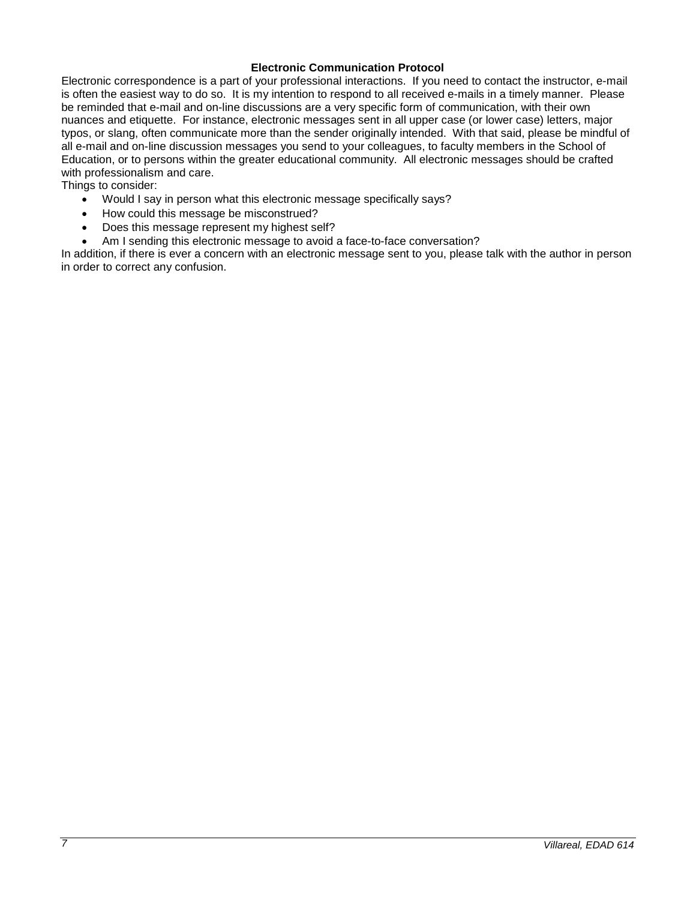### **Electronic Communication Protocol**

Electronic correspondence is a part of your professional interactions. If you need to contact the instructor, e-mail is often the easiest way to do so. It is my intention to respond to all received e-mails in a timely manner. Please be reminded that e-mail and on-line discussions are a very specific form of communication, with their own nuances and etiquette. For instance, electronic messages sent in all upper case (or lower case) letters, major typos, or slang, often communicate more than the sender originally intended. With that said, please be mindful of all e-mail and on-line discussion messages you send to your colleagues, to faculty members in the School of Education, or to persons within the greater educational community. All electronic messages should be crafted with professionalism and care.

Things to consider:

- Would I say in person what this electronic message specifically says?
- How could this message be misconstrued?
- Does this message represent my highest self?
- Am I sending this electronic message to avoid a face-to-face conversation?

In addition, if there is ever a concern with an electronic message sent to you, please talk with the author in person in order to correct any confusion.